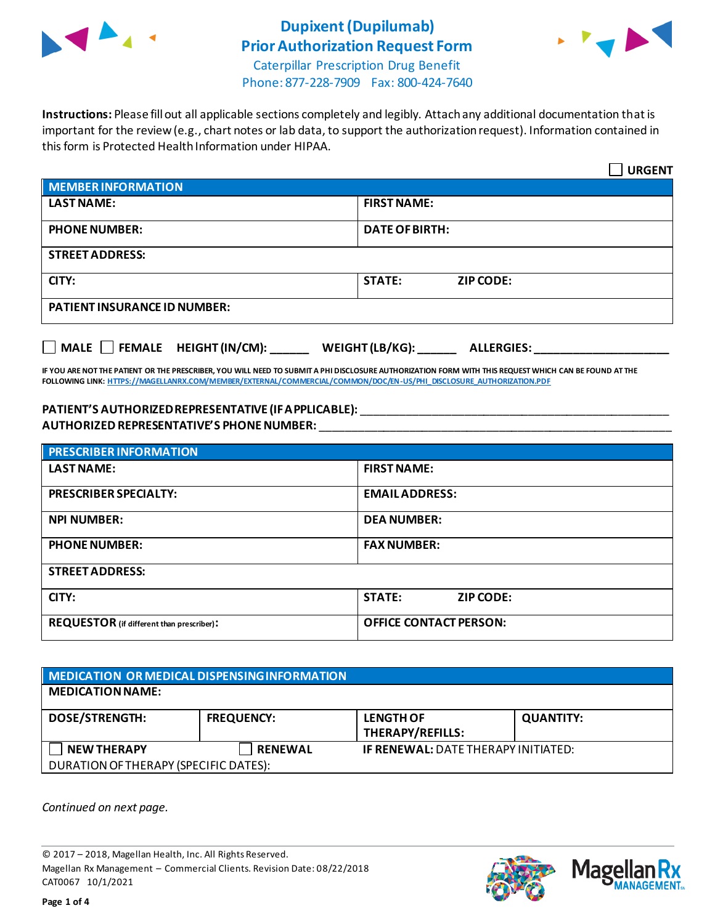

# **Dupixent(Dupilumab) Prior Authorization Request Form**



Caterpillar Prescription Drug Benefit Phone: 877-228-7909 Fax: 800-424-7640

**Instructions:** Please fill out all applicable sections completely and legibly. Attach any additional documentation that is important for the review (e.g., chart notes or lab data, to support the authorization request). Information contained in this form is Protected Health Information under HIPAA.

|                                           | <b>URGENT</b>                        |  |
|-------------------------------------------|--------------------------------------|--|
| <b>MEMBER INFORMATION</b>                 |                                      |  |
| <b>LAST NAME:</b>                         | <b>FIRST NAME:</b>                   |  |
| <b>PHONE NUMBER:</b>                      | <b>DATE OF BIRTH:</b>                |  |
| <b>STREET ADDRESS:</b>                    |                                      |  |
| CITY:                                     | <b>STATE:</b><br><b>ZIP CODE:</b>    |  |
| <b>PATIENT INSURANCE ID NUMBER:</b>       |                                      |  |
| $\Box$ MALE $\Box$ FEMALE HEIGHT (IN/CM): | WEIGHT (LB/KG):<br><b>ALLERGIES:</b> |  |

**IF YOU ARE NOT THE PATIENT OR THE PRESCRIBER, YOU WILL NEED TO SUBMIT A PHI DISCLOSURE AUTHORIZATION FORM WITH THIS REQUEST WHICH CAN BE FOUND AT THE FOLLOWING LINK[: HTTPS://MAGELLANRX.COM/MEMBER/EXTERNAL/COMMERCIAL/COMMON/DOC/EN-US/PHI\\_DISCLOSURE\\_AUTHORIZATION.PDF](https://magellanrx.com/member/external/commercial/common/doc/en-us/PHI_Disclosure_Authorization.pdf)**

### **PATIENT'S AUTHORIZED REPRESENTATIVE (IF APPLICABLE):** \_\_\_\_\_\_\_\_\_\_\_\_\_\_\_\_\_\_\_\_\_\_\_\_\_\_\_\_\_\_\_\_\_\_\_\_\_\_\_\_\_\_\_\_\_\_\_\_ **AUTHORIZED REPRESENTATIVE'S PHONE NUMBER:** \_\_\_\_\_\_\_\_\_\_\_\_\_\_\_\_\_\_\_\_\_\_\_\_\_\_\_\_\_\_\_\_\_\_\_\_\_\_\_\_\_\_\_\_\_\_\_\_\_\_\_\_\_\_\_

| <b>PRESCRIBER INFORMATION</b>             |                                   |
|-------------------------------------------|-----------------------------------|
| <b>LAST NAME:</b>                         | <b>FIRST NAME:</b>                |
| <b>PRESCRIBER SPECIALTY:</b>              | <b>EMAIL ADDRESS:</b>             |
| <b>NPI NUMBER:</b>                        | <b>DEA NUMBER:</b>                |
| <b>PHONE NUMBER:</b>                      | <b>FAX NUMBER:</b>                |
| <b>STREET ADDRESS:</b>                    |                                   |
| CITY:                                     | <b>STATE:</b><br><b>ZIP CODE:</b> |
| REQUESTOR (if different than prescriber): | <b>OFFICE CONTACT PERSON:</b>     |

| <b>MEDICATION OR MEDICAL DISPENSING INFORMATION</b> |                   |                                            |                  |  |  |  |
|-----------------------------------------------------|-------------------|--------------------------------------------|------------------|--|--|--|
| <b>MEDICATION NAME:</b>                             |                   |                                            |                  |  |  |  |
| <b>DOSE/STRENGTH:</b>                               | <b>FREQUENCY:</b> | <b>LENGTH OF</b><br>THERAPY/REFILLS:       | <b>QUANTITY:</b> |  |  |  |
| <b>NEW THERAPY</b>                                  | <b>RENEWAL</b>    | <b>IF RENEWAL: DATE THERAPY INITIATED:</b> |                  |  |  |  |
| DURATION OF THERAPY (SPECIFIC DATES):               |                   |                                            |                  |  |  |  |

*Continued on next page.*

© 2017 – 2018, Magellan Health, Inc. All Rights Reserved. Magellan Rx Management – Commercial Clients. Revision Date: 08/22/2018 CAT0067 10/1/2021



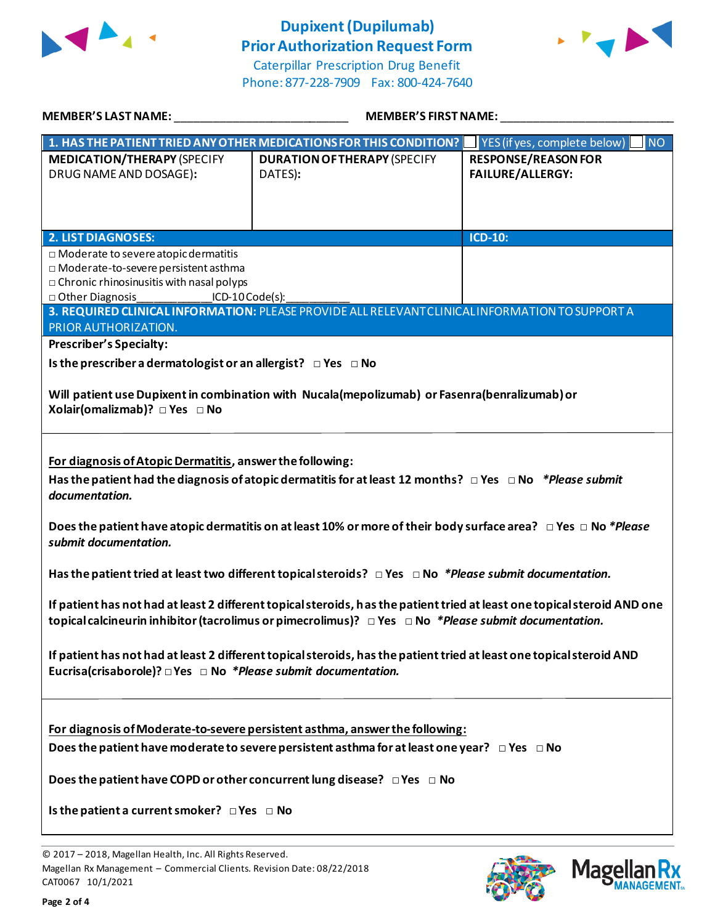

## **Dupixent(Dupilumab) Prior Authorization Request Form**





| <b>MEMBER'S LAST NAME:</b>                                                                                                                                                                                                                                                                                                                                                                                                                     | <b>MEMBER'S FIRST NAME:</b>                                                                                                                                                            |                                                       |  |  |
|------------------------------------------------------------------------------------------------------------------------------------------------------------------------------------------------------------------------------------------------------------------------------------------------------------------------------------------------------------------------------------------------------------------------------------------------|----------------------------------------------------------------------------------------------------------------------------------------------------------------------------------------|-------------------------------------------------------|--|--|
|                                                                                                                                                                                                                                                                                                                                                                                                                                                | 1. HAS THE PATIENT TRIED ANY OTHER MEDICATIONS FOR THIS CONDITION?                                                                                                                     | I <sub>NO</sub><br>YES (if yes, complete below)       |  |  |
| <b>MEDICATION/THERAPY (SPECIFY</b><br>DRUG NAME AND DOSAGE):                                                                                                                                                                                                                                                                                                                                                                                   | <b>DURATION OF THERAPY (SPECIFY</b><br>DATES):                                                                                                                                         | <b>RESPONSE/REASON FOR</b><br><b>FAILURE/ALLERGY:</b> |  |  |
|                                                                                                                                                                                                                                                                                                                                                                                                                                                |                                                                                                                                                                                        | <b>ICD-10:</b>                                        |  |  |
| <b>2. LIST DIAGNOSES:</b><br>□ Moderate to severe atopic dermatitis<br>□ Moderate-to-severe persistent asthma<br>$\Box$ Chronic rhinosinusitis with nasal polyps<br>□ Other Diagnosis<br>$ICD-10Code(s):$<br>PRIOR AUTHORIZATION.                                                                                                                                                                                                              | 3. REQUIRED CLINICAL INFORMATION: PLEASE PROVIDE ALL RELEVANT CLINICAL INFORMATION TO SUPPORT A                                                                                        |                                                       |  |  |
| <b>Prescriber's Specialty:</b>                                                                                                                                                                                                                                                                                                                                                                                                                 |                                                                                                                                                                                        |                                                       |  |  |
| Is the prescriber a dermatologist or an allergist? $\Box$ Yes $\Box$ No                                                                                                                                                                                                                                                                                                                                                                        |                                                                                                                                                                                        |                                                       |  |  |
| Will patient use Dupixent in combination with Nucala(mepolizumab) or Fasenra(benralizumab) or<br>Xolair(omalizmab)? □ Yes □ No                                                                                                                                                                                                                                                                                                                 |                                                                                                                                                                                        |                                                       |  |  |
| For diagnosis of Atopic Dermatitis, answer the following:<br>Has the patient had the diagnosis of atopic dermatitis for at least 12 months? $\Box$ Yes $\Box$ No *Please submit<br>documentation.<br>Does the patient have atopic dermatitis on at least 10% or more of their body surface area? $\Box$ Yes $\Box$ No *Please<br>submit documentation.                                                                                         |                                                                                                                                                                                        |                                                       |  |  |
|                                                                                                                                                                                                                                                                                                                                                                                                                                                | Has the patient tried at least two different topical steroids? $\Box$ Yes $\Box$ No *Please submit documentation.                                                                      |                                                       |  |  |
| If patient has not had at least 2 different topical steroids, has the patient tried at least one topical steroid AND one<br>topical calcineurin inhibitor (tacrolimus or pimecrolimus)? $\Box$ Yes $\Box$ No *Please submit documentation.<br>If patient has not had at least 2 different topical steroids, has the patient tried at least one topical steroid AND<br>Eucrisa(crisaborole)? $\Box$ Yes $\Box$ No *Please submit documentation. |                                                                                                                                                                                        |                                                       |  |  |
| Does the patient have COPD or other concurrent lung disease? $\Box$ Yes $\Box$ No<br>Is the patient a current smoker? $\Box$ Yes $\Box$ No                                                                                                                                                                                                                                                                                                     | For diagnosis of Moderate-to-severe persistent asthma, answer the following:<br>Does the patient have moderate to severe persistent asthma for at least one year? $\Box$ Yes $\Box$ No |                                                       |  |  |

© 2017 – 2018, Magellan Health, Inc. All Rights Reserved. Magellan Rx Management – Commercial Clients. Revision Date: 08/22/2018 CAT0067 10/1/2021



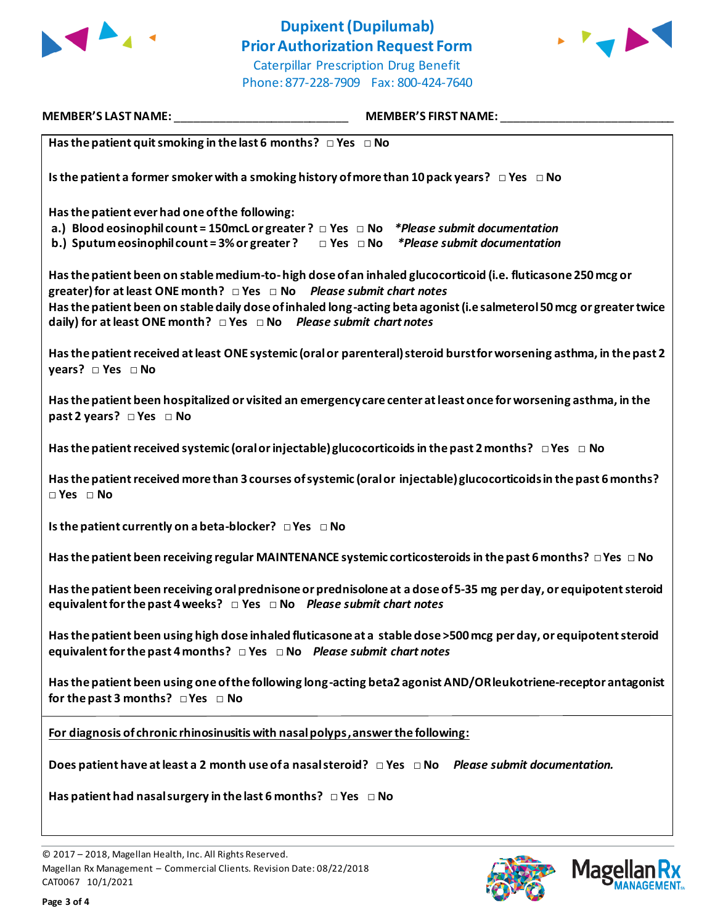

### **Dupixent(Dupilumab) Prior Authorization Request Form** Caterpillar Prescription Drug Benefit

Phone: 877-228-7909 Fax: 800-424-7640



**MEMBER'S LAST NAME:** \_\_\_\_\_\_\_\_\_\_\_\_\_\_\_\_\_\_\_\_\_\_\_\_\_\_\_ **MEMBER'S FIRST NAME:** \_\_\_\_\_\_\_\_\_\_\_\_\_\_\_\_\_\_\_\_\_\_\_\_\_\_\_ **Has the patient quit smoking in the last 6 months? □ Yes □ No Is the patient a former smoker with a smoking history of more than 10 pack years? □ Yes □ No Has the patient ever had one of the following: a.) Blood eosinophil count = 150mcL or greater ? □ Yes □ No** *\*Please submit documentation* **b.) Sputum eosinophil count = 3% or greater ? □ Yes □ No** *\*Please submit documentation* **Has the patient been on stable medium-to-high dose of an inhaled glucocorticoid (i.e. fluticasone 250 mcg or greater) for at least ONE month? □ Yes □ No** *Please submit chart notes* **Has the patient been on stable daily dose of inhaled long-acting beta agonist (i.e salmeterol 50 mcg or greater twice daily) for at least ONE month? □ Yes □ No** *Please submit chart notes* **Has the patient received at least ONE systemic (oral or parenteral) steroid burst for worsening asthma, in the past 2 years? □ Yes □ No Has the patient been hospitalized or visited an emergency care center at least once for worsening asthma, in the past 2 years? □ Yes □ No Has the patient received systemic (oral or injectable) glucocorticoids in the past 2 months? □ Yes □ No Has the patient received more than 3 courses of systemic (oral or injectable) glucocorticoids in the past 6 months? □ Yes □ No Is the patient currently on a beta-blocker? □ Yes □ No Has the patient been receiving regular MAINTENANCE systemic corticosteroids in the past 6 months? □ Yes □ No Has the patient been receiving oral prednisone or prednisolone at a dose of 5-35 mg per day, or equipotent steroid equivalent for the past 4 weeks? □ Yes □ No** *Please submit chart notes* **Has the patient been using high dose inhaled fluticasone at a stable dose >500 mcg per day, or equipotent steroid equivalent for the past 4 months? □ Yes □ No** *Please submit chart notes* **Has the patient been using one of the following long-acting beta2 agonist AND/OR leukotriene-receptor antagonist for the past 3 months? □ Yes □ No For diagnosis of chronic rhinosinusitis with nasal polyps, answer the following: Does patient have at least a 2 month use of a nasal steroid? □ Yes □ No** *Please submit documentation.* **Has patient had nasal surgery in the last 6 months? □ Yes □ No**